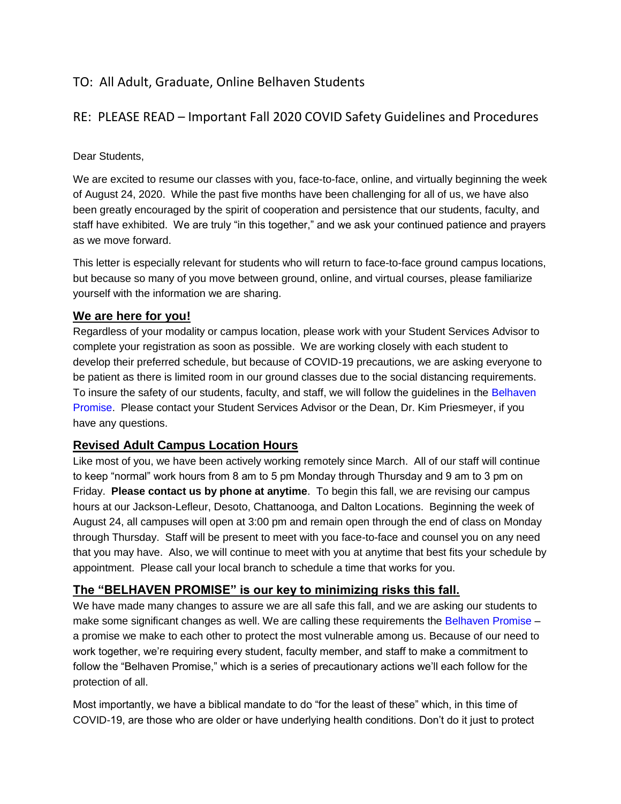# TO: All Adult, Graduate, Online Belhaven Students

## RE: PLEASE READ – Important Fall 2020 COVID Safety Guidelines and Procedures

#### Dear Students,

We are excited to resume our classes with you, face-to-face, online, and virtually beginning the week of August 24, 2020. While the past five months have been challenging for all of us, we have also been greatly encouraged by the spirit of cooperation and persistence that our students, faculty, and staff have exhibited. We are truly "in this together," and we ask your continued patience and prayers as we move forward.

This letter is especially relevant for students who will return to face-to-face ground campus locations, but because so many of you move between ground, online, and virtual courses, please familiarize yourself with the information we are sharing.

#### **We are here for you!**

Regardless of your modality or campus location, please work with your Student Services Advisor to complete your registration as soon as possible. We are working closely with each student to develop their preferred schedule, but because of COVID-19 precautions, we are asking everyone to be patient as there is limited room in our ground classes due to the social distancing requirements. To insure the safety of our students, faculty, and staff, we will follow the quidelines in the Belhaven [Promise.](http://em.belhaven.edu/f005R0T00V00HL20XqVw000) Please contact your Student Services Advisor or the Dean, Dr. Kim Priesmeyer, if you have any questions.

### **Revised Adult Campus Location Hours**

Like most of you, we have been actively working remotely since March. All of our staff will continue to keep "normal" work hours from 8 am to 5 pm Monday through Thursday and 9 am to 3 pm on Friday. **Please contact us by phone at anytime**. To begin this fall, we are revising our campus hours at our Jackson-Lefleur, Desoto, Chattanooga, and Dalton Locations. Beginning the week of August 24, all campuses will open at 3:00 pm and remain open through the end of class on Monday through Thursday. Staff will be present to meet with you face-to-face and counsel you on any need that you may have. Also, we will continue to meet with you at anytime that best fits your schedule by appointment. Please call your local branch to schedule a time that works for you.

### **The "BELHAVEN PROMISE" is our key to minimizing risks this fall.**

We have made many changes to assure we are all safe this fall, and we are asking our students to make some significant changes as well. We are calling these requirements the [Belhaven Promise](http://em.belhaven.edu/f005R0T00V00HL20XqVw000) – a promise we make to each other to protect the most vulnerable among us. Because of our need to work together, we're requiring every student, faculty member, and staff to make a commitment to follow the "Belhaven Promise," which is a series of precautionary actions we'll each follow for the protection of all.

Most importantly, we have a biblical mandate to do "for the least of these" which, in this time of COVID-19, are those who are older or have underlying health conditions. Don't do it just to protect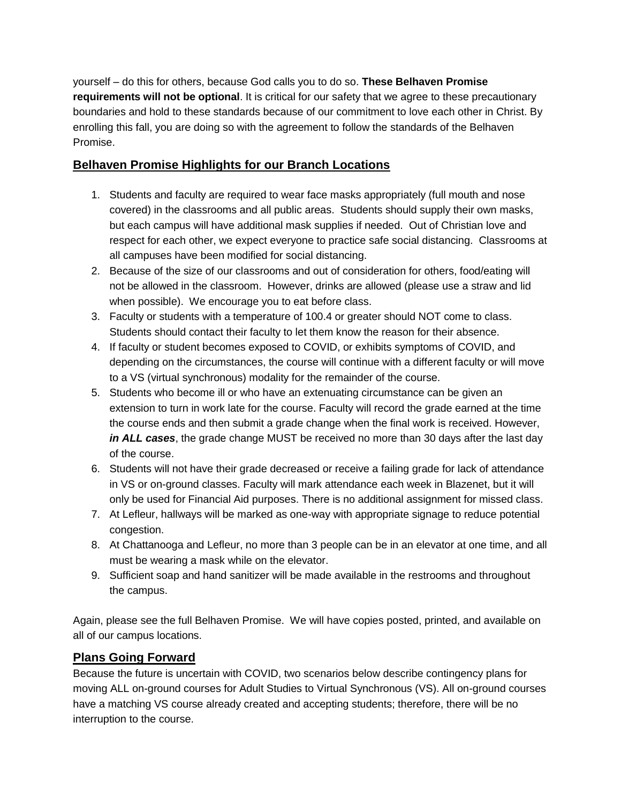yourself – do this for others, because God calls you to do so. **These Belhaven Promise requirements will not be optional**. It is critical for our safety that we agree to these precautionary boundaries and hold to these standards because of our commitment to love each other in Christ. By enrolling this fall, you are doing so with the agreement to follow the standards of the Belhaven Promise.

## **Belhaven Promise Highlights for our Branch Locations**

- 1. Students and faculty are required to wear face masks appropriately (full mouth and nose covered) in the classrooms and all public areas. Students should supply their own masks, but each campus will have additional mask supplies if needed. Out of Christian love and respect for each other, we expect everyone to practice safe social distancing. Classrooms at all campuses have been modified for social distancing.
- 2. Because of the size of our classrooms and out of consideration for others, food/eating will not be allowed in the classroom. However, drinks are allowed (please use a straw and lid when possible). We encourage you to eat before class.
- 3. Faculty or students with a temperature of 100.4 or greater should NOT come to class. Students should contact their faculty to let them know the reason for their absence.
- 4. If faculty or student becomes exposed to COVID, or exhibits symptoms of COVID, and depending on the circumstances, the course will continue with a different faculty or will move to a VS (virtual synchronous) modality for the remainder of the course.
- 5. Students who become ill or who have an extenuating circumstance can be given an extension to turn in work late for the course. Faculty will record the grade earned at the time the course ends and then submit a grade change when the final work is received. However, *in ALL cases*, the grade change MUST be received no more than 30 days after the last day of the course.
- 6. Students will not have their grade decreased or receive a failing grade for lack of attendance in VS or on-ground classes. Faculty will mark attendance each week in Blazenet, but it will only be used for Financial Aid purposes. There is no additional assignment for missed class.
- 7. At Lefleur, hallways will be marked as one-way with appropriate signage to reduce potential congestion.
- 8. At Chattanooga and Lefleur, no more than 3 people can be in an elevator at one time, and all must be wearing a mask while on the elevator.
- 9. Sufficient soap and hand sanitizer will be made available in the restrooms and throughout the campus.

Again, please see the full Belhaven Promise. We will have copies posted, printed, and available on all of our campus locations.

## **Plans Going Forward**

Because the future is uncertain with COVID, two scenarios below describe contingency plans for moving ALL on-ground courses for Adult Studies to Virtual Synchronous (VS). All on-ground courses have a matching VS course already created and accepting students; therefore, there will be no interruption to the course.